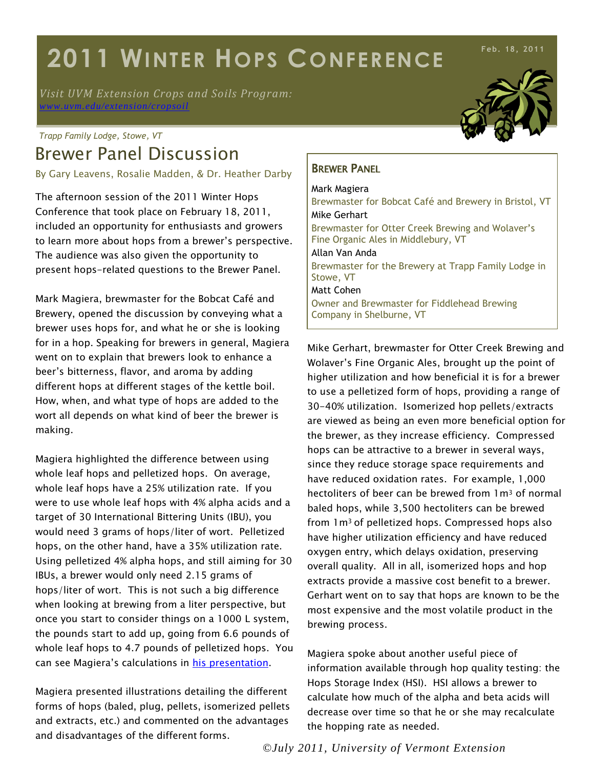# **2011 WINTER HOPS CONFERENCE**

*Visit UVM Extension Crops and Soils Program: [www.uvm.edu/extension/cropsoil](http://www.uvm.edu/extension/cropsoil)*

#### *Trapp Family Lodge, Stowe, VT*

## Brewer Panel Discussion

By Gary Leavens, Rosalie Madden, & Dr. Heather Darby

The afternoon session of the 2011 Winter Hops Conference that took place on February 18, 2011, included an opportunity for enthusiasts and growers to learn more about hops from a brewer's perspective. The audience was also given the opportunity to present hops-related questions to the Brewer Panel.

Mark Magiera, brewmaster for the Bobcat Café and Brewery, opened the discussion by conveying what a brewer uses hops for, and what he or she is looking for in a hop. Speaking for brewers in general, Magiera went on to explain that brewers look to enhance a beer's bitterness, flavor, and aroma by adding different hops at different stages of the kettle boil. How, when, and what type of hops are added to the wort all depends on what kind of beer the brewer is making.

Magiera highlighted the difference between using whole leaf hops and pelletized hops. On average, whole leaf hops have a 25% utilization rate. If you were to use whole leaf hops with 4% alpha acids and a target of 30 International Bittering Units (IBU), you would need 3 grams of hops/liter of wort. Pelletized hops, on the other hand, have a 35% utilization rate. Using pelletized 4% alpha hops, and still aiming for 30 IBUs, a brewer would only need 2.15 grams of hops/liter of wort. This is not such a big difference when looking at brewing from a liter perspective, but once you start to consider things on a 1000 L system, the pounds start to add up, going from 6.6 pounds of whole leaf hops to 4.7 pounds of pelletized hops. You can see Magiera's calculations in [his presentation.](http://www.uvm.edu/extension/cropsoil/wp-content/uploads/Magiera-Brewers-Panel.pdf)

Magiera presented illustrations detailing the different forms of hops (baled, plug, pellets, isomerized pellets and extracts, etc.) and commented on the advantages and disadvantages of the different forms.

**Feb. 18, 2011**

#### BREWER PANEL

Mark Magiera Brewmaster for Bobcat Café and Brewery in Bristol, VT Mike Gerhart Brewmaster for Otter Creek Brewing and Wolaver's Fine Organic Ales in Middlebury, VT Allan Van Anda Brewmaster for the Brewery at Trapp Family Lodge in Stowe, VT Matt Cohen Owner and Brewmaster for Fiddlehead Brewing Company in Shelburne, VT

Mike Gerhart, brewmaster for Otter Creek Brewing and Wolaver's Fine Organic Ales, brought up the point of higher utilization and how beneficial it is for a brewer to use a pelletized form of hops, providing a range of 30-40% utilization. Isomerized hop pellets/extracts are viewed as being an even more beneficial option for the brewer, as they increase efficiency. Compressed hops can be attractive to a brewer in several ways, since they reduce storage space requirements and have reduced oxidation rates. For example, 1,000 hectoliters of beer can be brewed from 1 m<sup>3</sup> of normal baled hops, while 3,500 hectoliters can be brewed from 1m3 of pelletized hops. Compressed hops also have higher utilization efficiency and have reduced oxygen entry, which delays oxidation, preserving overall quality. All in all, isomerized hops and hop extracts provide a massive cost benefit to a brewer. Gerhart went on to say that hops are known to be the most expensive and the most volatile product in the brewing process.

Magiera spoke about another useful piece of information available through hop quality testing: the Hops Storage Index (HSI). HSI allows a brewer to calculate how much of the alpha and beta acids will decrease over time so that he or she may recalculate the hopping rate as needed.

*©July 2011, University of Vermont Extension*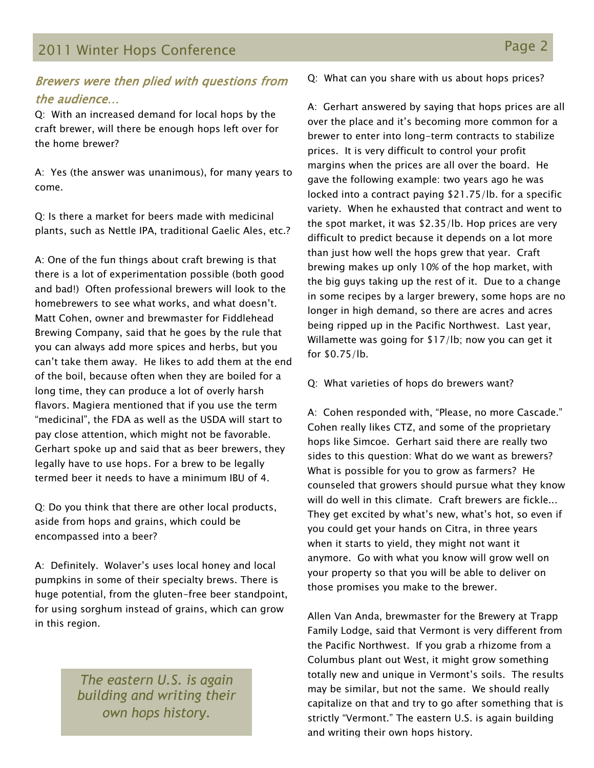## 2011 Winter Hops Conference **Page 2** and the Page 2

#### Brewers were then plied with questions from the audience…

Q: With an increased demand for local hops by the craft brewer, will there be enough hops left over for the home brewer?

A: Yes (the answer was unanimous), for many years to come.

Q: Is there a market for beers made with medicinal plants, such as Nettle IPA, traditional Gaelic Ales, etc.?

A: One of the fun things about craft brewing is that there is a lot of experimentation possible (both good and bad!) Often professional brewers will look to the homebrewers to see what works, and what doesn't. Matt Cohen, owner and brewmaster for Fiddlehead Brewing Company, said that he goes by the rule that you can always add more spices and herbs, but you can't take them away. He likes to add them at the end of the boil, because often when they are boiled for a long time, they can produce a lot of overly harsh flavors. Magiera mentioned that if you use the term "medicinal", the FDA as well as the USDA will start to pay close attention, which might not be favorable. Gerhart spoke up and said that as beer brewers, they legally have to use hops. For a brew to be legally termed beer it needs to have a minimum IBU of 4.

Q: Do you think that there are other local products, aside from hops and grains, which could be encompassed into a beer?

A: Definitely. Wolaver's uses local honey and local pumpkins in some of their specialty brews. There is huge potential, from the gluten-free beer standpoint, for using sorghum instead of grains, which can grow in this region.

> *The eastern U.S. is again building and writing their own hops history.*

Q: What can you share with us about hops prices?

A: Gerhart answered by saying that hops prices are all over the place and it's becoming more common for a brewer to enter into long-term contracts to stabilize prices. It is very difficult to control your profit margins when the prices are all over the board. He gave the following example: two years ago he was locked into a contract paying \$21.75/lb. for a specific variety. When he exhausted that contract and went to the spot market, it was \$2.35/lb. Hop prices are very difficult to predict because it depends on a lot more than just how well the hops grew that year. Craft brewing makes up only 10% of the hop market, with the big guys taking up the rest of it. Due to a change in some recipes by a larger brewery, some hops are no longer in high demand, so there are acres and acres being ripped up in the Pacific Northwest. Last year, Willamette was going for \$17/lb; now you can get it for \$0.75/lb.

Q: What varieties of hops do brewers want?

A: Cohen responded with, "Please, no more Cascade." Cohen really likes CTZ, and some of the proprietary hops like Simcoe. Gerhart said there are really two sides to this question: What do we want as brewers? What is possible for you to grow as farmers? He counseled that growers should pursue what they know will do well in this climate. Craft brewers are fickle... They get excited by what's new, what's hot, so even if you could get your hands on Citra, in three years when it starts to yield, they might not want it anymore. Go with what you know will grow well on your property so that you will be able to deliver on those promises you make to the brewer.

Allen Van Anda, brewmaster for the Brewery at Trapp Family Lodge, said that Vermont is very different from the Pacific Northwest. If you grab a rhizome from a Columbus plant out West, it might grow something totally new and unique in Vermont's soils. The results may be similar, but not the same. We should really capitalize on that and try to go after something that is strictly "Vermont." The eastern U.S. is again building and writing their own hops history.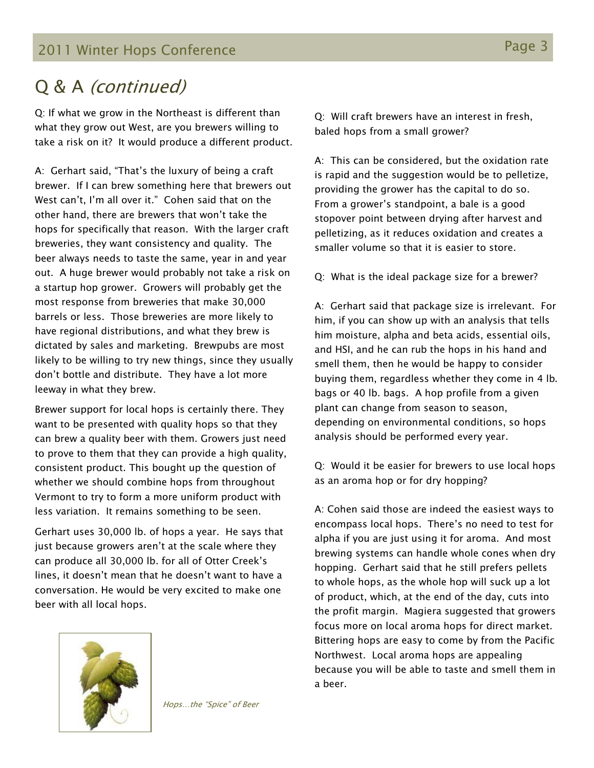2011 Winter Hops Conference **Page 3** And The Page 3

## Q & A (continued)

Q: If what we grow in the Northeast is different than what they grow out West, are you brewers willing to take a risk on it? It would produce a different product.

A: Gerhart said, "That's the luxury of being a craft brewer. If I can brew something here that brewers out West can't, I'm all over it." Cohen said that on the other hand, there are brewers that won't take the hops for specifically that reason. With the larger craft breweries, they want consistency and quality. The beer always needs to taste the same, year in and year out. A huge brewer would probably not take a risk on a startup hop grower. Growers will probably get the most response from breweries that make 30,000 barrels or less. Those breweries are more likely to have regional distributions, and what they brew is dictated by sales and marketing. Brewpubs are most likely to be willing to try new things, since they usually don't bottle and distribute. They have a lot more leeway in what they brew.

Brewer support for local hops is certainly there. They want to be presented with quality hops so that they can brew a quality beer with them. Growers just need to prove to them that they can provide a high quality, consistent product. This bought up the question of whether we should combine hops from throughout Vermont to try to form a more uniform product with less variation. It remains something to be seen.

Gerhart uses 30,000 lb. of hops a year. He says that just because growers aren't at the scale where they can produce all 30,000 lb. for all of Otter Creek's lines, it doesn't mean that he doesn't want to have a conversation. He would be very excited to make one beer with all local hops.



Hops…the "Spice" of Beer

Q: Will craft brewers have an interest in fresh, baled hops from a small grower?

A: This can be considered, but the oxidation rate is rapid and the suggestion would be to pelletize, providing the grower has the capital to do so. From a grower's standpoint, a bale is a good stopover point between drying after harvest and pelletizing, as it reduces oxidation and creates a smaller volume so that it is easier to store.

Q: What is the ideal package size for a brewer?

A: Gerhart said that package size is irrelevant. For him, if you can show up with an analysis that tells him moisture, alpha and beta acids, essential oils, and HSI, and he can rub the hops in his hand and smell them, then he would be happy to consider buying them, regardless whether they come in 4 lb. bags or 40 lb. bags. A hop profile from a given plant can change from season to season, depending on environmental conditions, so hops analysis should be performed every year.

Q: Would it be easier for brewers to use local hops as an aroma hop or for dry hopping?

A: Cohen said those are indeed the easiest ways to encompass local hops. There's no need to test for alpha if you are just using it for aroma. And most brewing systems can handle whole cones when dry hopping. Gerhart said that he still prefers pellets to whole hops, as the whole hop will suck up a lot of product, which, at the end of the day, cuts into the profit margin. Magiera suggested that growers focus more on local aroma hops for direct market. Bittering hops are easy to come by from the Pacific Northwest. Local aroma hops are appealing because you will be able to taste and smell them in a beer.